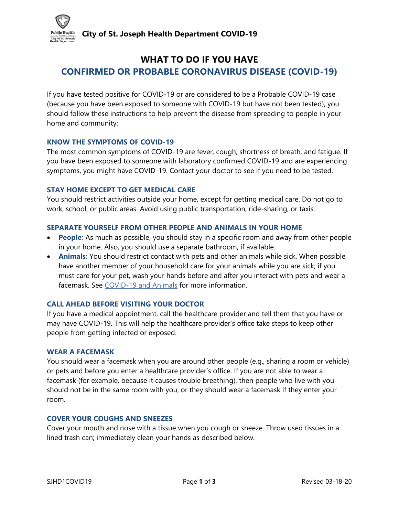**City of St. Joseph Health Department COVID-19**



# **WHAT TO DO IF YOU HAVE CONFIRMED OR PROBABLE CORONAVIRUS DISEASE (COVID-19)**

If you have tested positive for COVID-19 or are considered to be a Probable COVID-19 case (because you have been exposed to someone with COVID-19 but have not been tested), you should follow these instructions to help prevent the disease from spreading to people in your home and community:

## **KNOW THE SYMPTOMS OF COVID-19**

The most common symptoms of COVID-19 are fever, cough, shortness of breath, and fatigue. If you have been exposed to someone with laboratory confirmed COVID-19 and are experiencing symptoms, you might have COVID-19. Contact your doctor to see if you need to be tested.

## **STAY HOME EXCEPT TO GET MEDICAL CARE**

You should restrict activities outside your home, except for getting medical care. Do not go to work, school, or public areas. Avoid using public transportation, ride-sharing, or taxis.

## **SEPARATE YOURSELF FROM OTHER PEOPLE AND ANIMALS IN YOUR HOME**

- **People:** As much as possible, you should stay in a specific room and away from other people in your home. Also, you should use a separate bathroom, if available.
- **Animals:** You should restrict contact with pets and other animals while sick. When possible, have another member of your household care for your animals while you are sick; if you must care for your pet, wash your hands before and after you interact with pets and wear a facemask. See [COVID-19 and Animals](https://www.cdc.gov/coronavirus/2019-ncov/daily-life-coping/animals.html) for more information.

## **CALL AHEAD BEFORE VISITING YOUR DOCTOR**

If you have a medical appointment, call the healthcare provider and tell them that you have or may have COVID-19. This will help the healthcare provider's office take steps to keep other people from getting infected or exposed.

## **WEAR A FACEMASK**

You should wear a facemask when you are around other people (e.g., sharing a room or vehicle) or pets and before you enter a healthcare provider's office. If you are not able to wear a facemask (for example, because it causes trouble breathing), then people who live with you should not be in the same room with you, or they should wear a facemask if they enter your room.

## **COVER YOUR COUGHS AND SNEEZES**

Cover your mouth and nose with a tissue when you cough or sneeze. Throw used tissues in a lined trash can; immediately clean your hands as described below.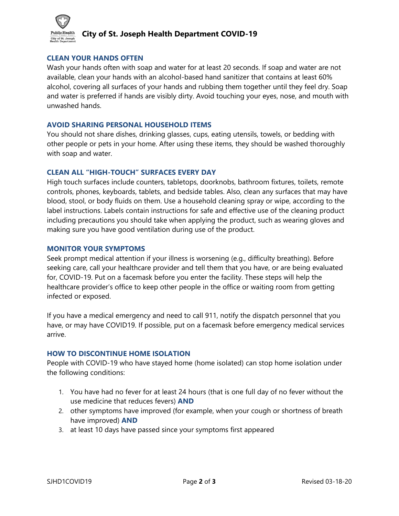

## **City of St. Joseph Health Department COVID-19**

#### **CLEAN YOUR HANDS OFTEN**

Wash your hands often with soap and water for at least 20 seconds. If soap and water are not available, clean your hands with an alcohol-based hand sanitizer that contains at least 60% alcohol, covering all surfaces of your hands and rubbing them together until they feel dry. Soap and water is preferred if hands are visibly dirty. Avoid touching your eyes, nose, and mouth with unwashed hands.

#### **AVOID SHARING PERSONAL HOUSEHOLD ITEMS**

You should not share dishes, drinking glasses, cups, eating utensils, towels, or bedding with other people or pets in your home. After using these items, they should be washed thoroughly with soap and water.

#### **CLEAN ALL "HIGH-TOUCH" SURFACES EVERY DAY**

High touch surfaces include counters, tabletops, doorknobs, bathroom fixtures, toilets, remote controls, phones, keyboards, tablets, and bedside tables. Also, clean any surfaces that may have blood, stool, or body fluids on them. Use a household cleaning spray or wipe, according to the label instructions. Labels contain instructions for safe and effective use of the cleaning product including precautions you should take when applying the product, such as wearing gloves and making sure you have good ventilation during use of the product.

#### **MONITOR YOUR SYMPTOMS**

Seek prompt medical attention if your illness is worsening (e.g., difficulty breathing). Before seeking care, call your healthcare provider and tell them that you have, or are being evaluated for, COVID-19. Put on a facemask before you enter the facility. These steps will help the healthcare provider's office to keep other people in the office or waiting room from getting infected or exposed.

If you have a medical emergency and need to call 911, notify the dispatch personnel that you have, or may have COVID19. If possible, put on a facemask before emergency medical services arrive.

#### **HOW TO DISCONTINUE HOME ISOLATION**

People with COVID-19 who have stayed home (home isolated) can stop home isolation under the following conditions:

- 1. You have had no fever for at least 24 hours (that is one full day of no fever without the use medicine that reduces fevers) **AND**
- 2. other symptoms have improved (for example, when your cough or shortness of breath have improved) **AND**
- 3. at least 10 days have passed since your symptoms first appeared